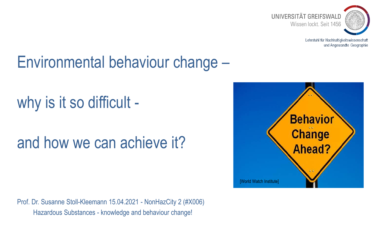

## Environmental behaviour change –

why is it so difficult -

## and how we can achieve it?

Prof. Dr. Susanne Stoll-Kleemann 15.04.2021 - NonHazCity 2 (#X006) Hazardous Substances - knowledge and behaviour change!

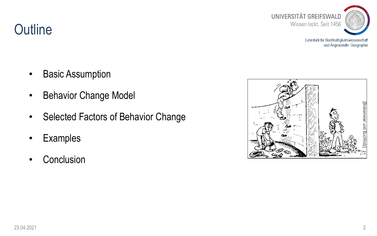

**Outline** 

- **Basic Assumption**
- **Behavior Change Model**
- Selected Factors of Behavior Change
- **Examples**
- Conclusion

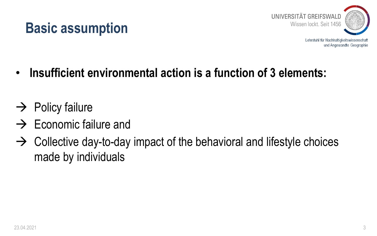



- **Insufficient environmental action is a function of 3 elements:**
- $\rightarrow$  Policy failure
- $\rightarrow$  Economic failure and
- $\rightarrow$  Collective day-to-day impact of the behavioral and lifestyle choices made by individuals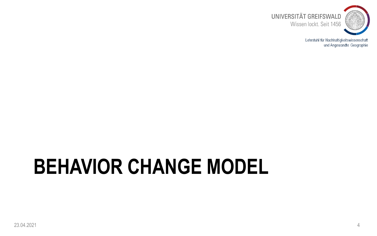

# **BEHAVIOR CHANGE MODEL**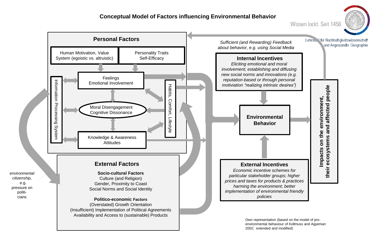#### **Conceptual Model of Factors influencing Environmental Behavior**

Wissen lockt. Seit 1456





environmental behaviour of Kollmuss and Agyeman 2002; extended and modified)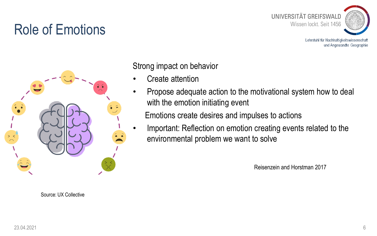#### Role of Emotions



Lehrstuhl für Nachhaltigkeitswissenschaft und Angewandte Geographie



Source: UX Collective

Strong impact on behavior

- Create attention
- Propose adequate action to the motivational system how to deal with the emotion initiating event

Emotions create desires and impulses to actions

• Important: Reflection on emotion creating events related to the environmental problem we want to solve

Reisenzein and Horstman 2017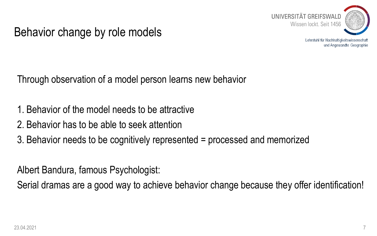

Behavior change by role models

Lehrstuhl für Nachhaltigkeitswissenschaft und Angewandte Geographie

Through observation of a model person learns new behavior

- 1. Behavior of the model needs to be attractive
- 2. Behavior has to be able to seek attention
- 3. Behavior needs to be cognitively represented = processed and memorized

Albert Bandura, famous Psychologist:

Serial dramas are a good way to achieve behavior change because they offer identification!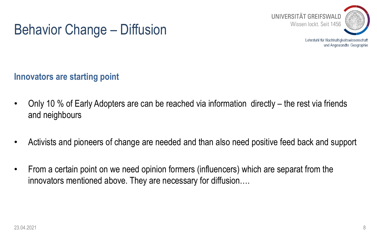

#### Behavior Change – Diffusion

**Innovators are starting point**

- Only 10 % of Early Adopters are can be reached via information directly the rest via friends and neighbours
- Activists and pioneers of change are needed and than also need positive feed back and support
- From a certain point on we need opinion formers (influencers) which are separat from the innovators mentioned above. They are necessary for diffusion….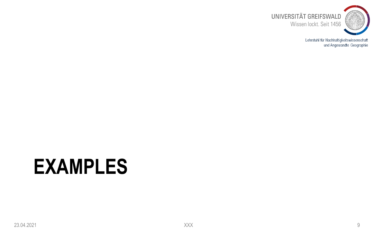

# **EXAMPLES**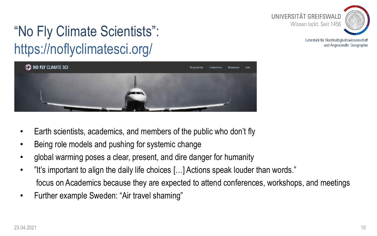

#### "No Fly Climate Scientists": https://noflyclimatesci.org/



- Earth scientists, academics, and members of the public who don't fly
- Being role models and pushing for systemic change
- global warming poses a clear, present, and dire danger for humanity
- "It's important to align the daily life choices […] Actions speak louder than words." focus on Academics because they are expected to attend conferences, workshops, and meetings
- Further example Sweden: "Air travel shaming"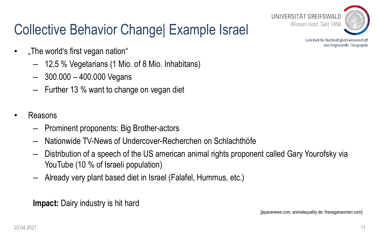#### Collective Behavior Change| Example Israel



Lehrstuhl für Nachhaltigkeitswissenschaft und Angewandte Geographie

- "The world's first vegan nation"
	- 12,5 % Vegetarians (1 Mio. of 8 Mio. Inhabitans)
	- $-$  300.000 400.000 Vegans
	- Further 13 % want to change on vegan diet
- Reasons
	- Prominent proponents: Big Brother-actors
	- Nationwide TV-News of Undercover-Recherchen on Schlachthöfe
	- Distribution of a speech of the US american animal rights proponent called Gary Yourofsky via YouTube (10 % of Israeli population)
	- Already very plant based diet in Israel (Falafel, Hummus, etc.)

**Impact:** Dairy industry is hit hard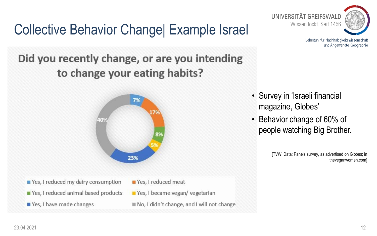### Collective Behavior Change| Example Israel

#### Did you recently change, or are you intending to change your eating habits?



- Yes, I reduced my dairy consumption Yes, I reduced animal based products
- Yes, I have made changes
- Yes, I reduced meat
- Yes, I became vegan/vegetarian
- No, I didn't change, and I will not change



Lehrstuhl für Nachhaltigkeitswissenschaft und Angewandte Geographie

- Survey in 'Israeli financial magazine, Globes'
- Behavior change of 60% of people watching Big Brother.

[TVW. Data: Panels survey, as advertised on Globes; in theveganwomen.com]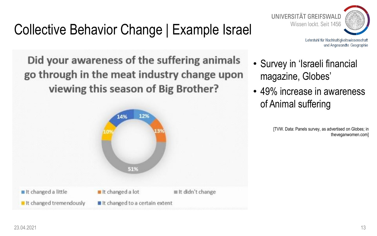## Collective Behavior Change | Example Israel

UNIVERSITÄT GREIFSWALD Wissen lockt. Seit 1456

Lehrstuhl für Nachhaltigkeitswissenschaft und Angewandte Geographie

Did your awareness of the suffering animals go through in the meat industry change upon viewing this season of Big Brother?



- Survey in 'Israeli financial magazine, Globes'
- 49% increase in awareness of Animal suffering

[TVW. Data: Panels survey, as advertised on Globes; in theveganwomen.com]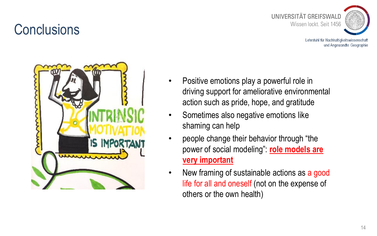#### **Conclusions**



Lehrstuhl für Nachhaltigkeitswissenschaft und Angewandte Geographie



- Positive emotions play a powerful role in driving support for ameliorative environmental action such as pride, hope, and gratitude
- Sometimes also negative emotions like shaming can help
- people change their behavior through "the power of social modeling": **role models are very important**
- New framing of sustainable actions as a good life for all and oneself (not on the expense of others or the own health)